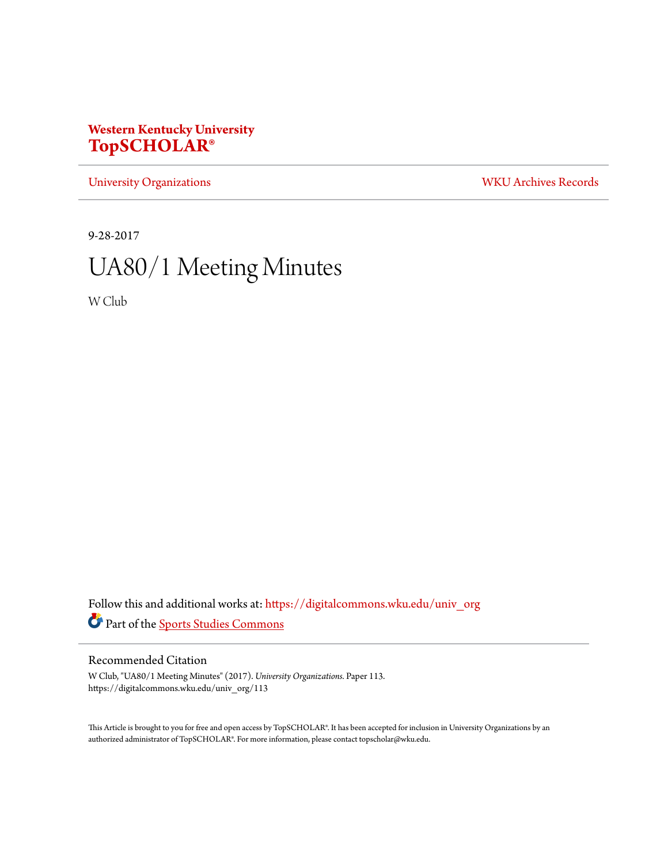# **Western Kentucky University [TopSCHOLAR®](https://digitalcommons.wku.edu?utm_source=digitalcommons.wku.edu%2Funiv_org%2F113&utm_medium=PDF&utm_campaign=PDFCoverPages)**

[University Organizations](https://digitalcommons.wku.edu/univ_org?utm_source=digitalcommons.wku.edu%2Funiv_org%2F113&utm_medium=PDF&utm_campaign=PDFCoverPages) [WKU Archives Records](https://digitalcommons.wku.edu/dlsc_ua_records?utm_source=digitalcommons.wku.edu%2Funiv_org%2F113&utm_medium=PDF&utm_campaign=PDFCoverPages)

9-28-2017

# UA80/1 Meeting Minutes

W Club

Follow this and additional works at: [https://digitalcommons.wku.edu/univ\\_org](https://digitalcommons.wku.edu/univ_org?utm_source=digitalcommons.wku.edu%2Funiv_org%2F113&utm_medium=PDF&utm_campaign=PDFCoverPages) Part of the [Sports Studies Commons](http://network.bepress.com/hgg/discipline/1198?utm_source=digitalcommons.wku.edu%2Funiv_org%2F113&utm_medium=PDF&utm_campaign=PDFCoverPages)

### Recommended Citation

W Club, "UA80/1 Meeting Minutes" (2017). *University Organizations.* Paper 113. https://digitalcommons.wku.edu/univ\_org/113

This Article is brought to you for free and open access by TopSCHOLAR®. It has been accepted for inclusion in University Organizations by an authorized administrator of TopSCHOLAR®. For more information, please contact topscholar@wku.edu.